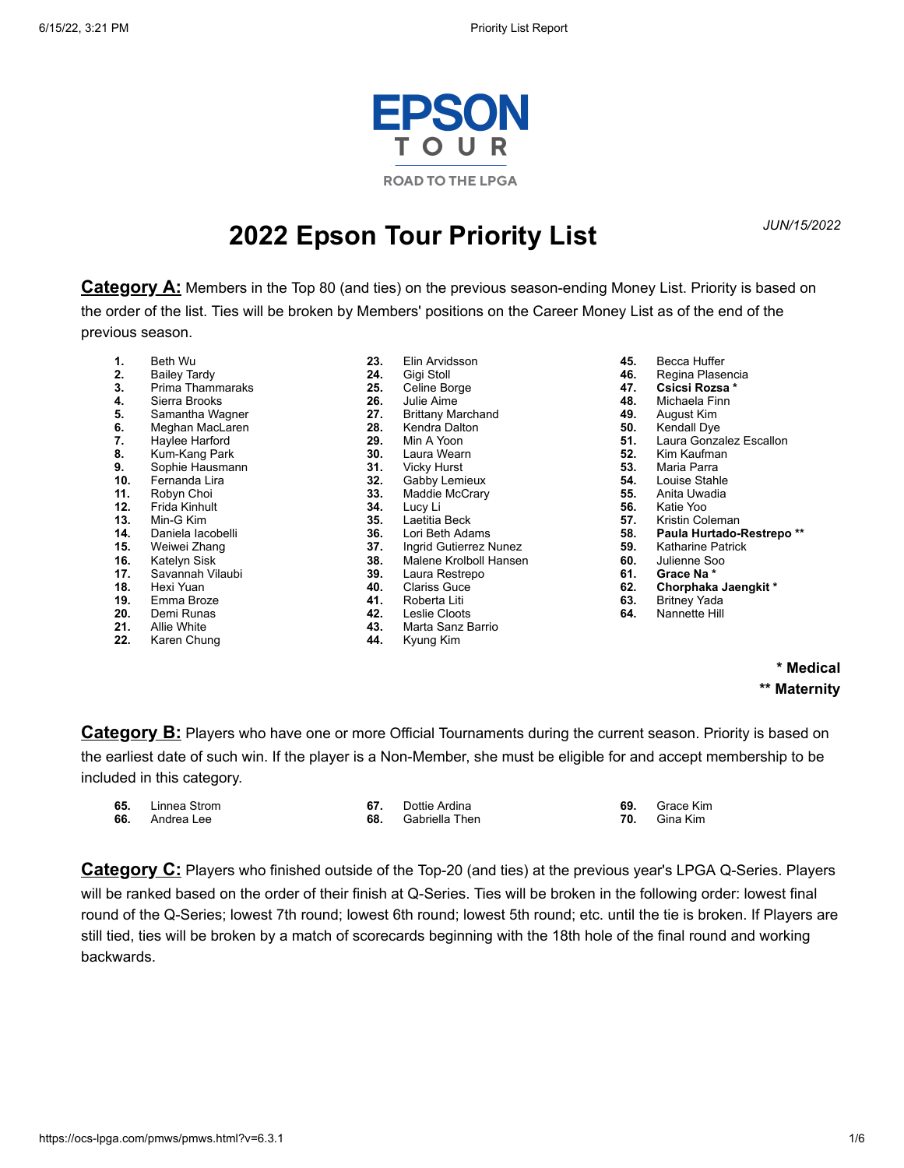

# *JUN/15/2022* **2022 Epson Tour Priority List**

**Category A:** Members in the Top 80 (and ties) on the previous season-ending Money List. Priority is based on the order of the list. Ties will be broken by Members' positions on the Career Money List as of the end of the previous season.

- **1.** Beth Wu
- **2.** Bailey Tardy
- **3.** Prima Thammaraks
- **4.** Sierra Brooks
- **5.** Samantha Wagner<br>**6.** Meghan MacLaren
- **6.** Meghan MacLaren<br>**7.** Haylee Harford
- **7.** Haylee Harford
- **8.** Kum-Kang Park
- **9.** Sophie Hausmann
- **10.** Fernanda Lira
- **11.** Robyn Choi
- **12.** Frida Kinhult
- **13.** Min-G Kim
- 14. Daniela lacobelli<br>15. Weiwei Zhang
- **15.** Weiwei Zhang
- 16. Katelyn Sisk<br>17. Savannah Vi
- **17.** Savannah Vilaubi
- **18.** Hexi Yuan
- **19.** Emma Broze
- **20.** Demi Runas
- **21.** Allie White
- **22.** Karen Chung
- **23.** Elin Arvidsson **24.** Gigi Stoll **25.** Celine Borge **26.** Julie Aime 27. Brittany Marchand<br>28. Kendra Dalton 28. Kendra Dalton<br>**29.** Min A Yoon **29.** Min A Yoon **30.** Laura Wearn<br>**31.** Vicky Hurst **31.** Vicky Hurst<br>**32.** Gabby Lem **32.** Gabby Lemieux<br>**33.** Maddie McCrary **33.** Maddie McCrary **34.** Lucy Li **35.** Laetitia Beck<br>**36.** Lori Beth Ada **36.** Lori Beth Adams **37.** Ingrid Gutierrez Nunez **38.** Malene Krolboll Hansen **39.** Laura Restrepo **40.** Clariss Guce **41.** Roberta Liti<br>**42.** Leslie Cloots
- **42.** Leslie Cloots
- **43.** Marta Sanz Barrio
	- **44.** Kyung Kim
- **45.** Becca Huffer
- **46.** Regina Plasencia
- **47. Csicsi Rozsa \***
- **48.** Michaela Finn
- **49.** August Kim
- **50.** Kendall Dye
- **51.** Laura Gonzalez Escallon<br>**52.** Kim Kaufman
- **52.** Kim Kaufman
- **53.** Maria Parra
- **54.** Louise Stahle
- **55.** Anita Uwadia
- **56.** Katie Yoo
- **57.** Kristin Coleman
- **58. Paula Hurtado-Restrepo \*\***
- **59.** Katharine Patrick<br>**60.** Julienne Soo
- **60.** Julienne Soo **61. Grace Na \***
	-
- **62. Chorphaka Jaengkit \***
- **63.** Britney Yada **64.** Nannette Hill

## **\* Medical \*\* Maternity**

**Category B:** Players who have one or more Official Tournaments during the current season. Priority is based on the earliest date of such win. If the player is a Non-Member, she must be eligible for and accept membership to be included in this category.

| 65. | Linnea Strom | Dottie Ardina  | Grace Kim |
|-----|--------------|----------------|-----------|
| 66. | Andrea Lee   | Gabriella Then | Gina Kim  |

**Category C:** Players who finished outside of the Top-20 (and ties) at the previous year's LPGA Q-Series. Players will be ranked based on the order of their finish at Q-Series. Ties will be broken in the following order: lowest final round of the Q-Series; lowest 7th round; lowest 6th round; lowest 5th round; etc. until the tie is broken. If Players are still tied, ties will be broken by a match of scorecards beginning with the 18th hole of the final round and working backwards.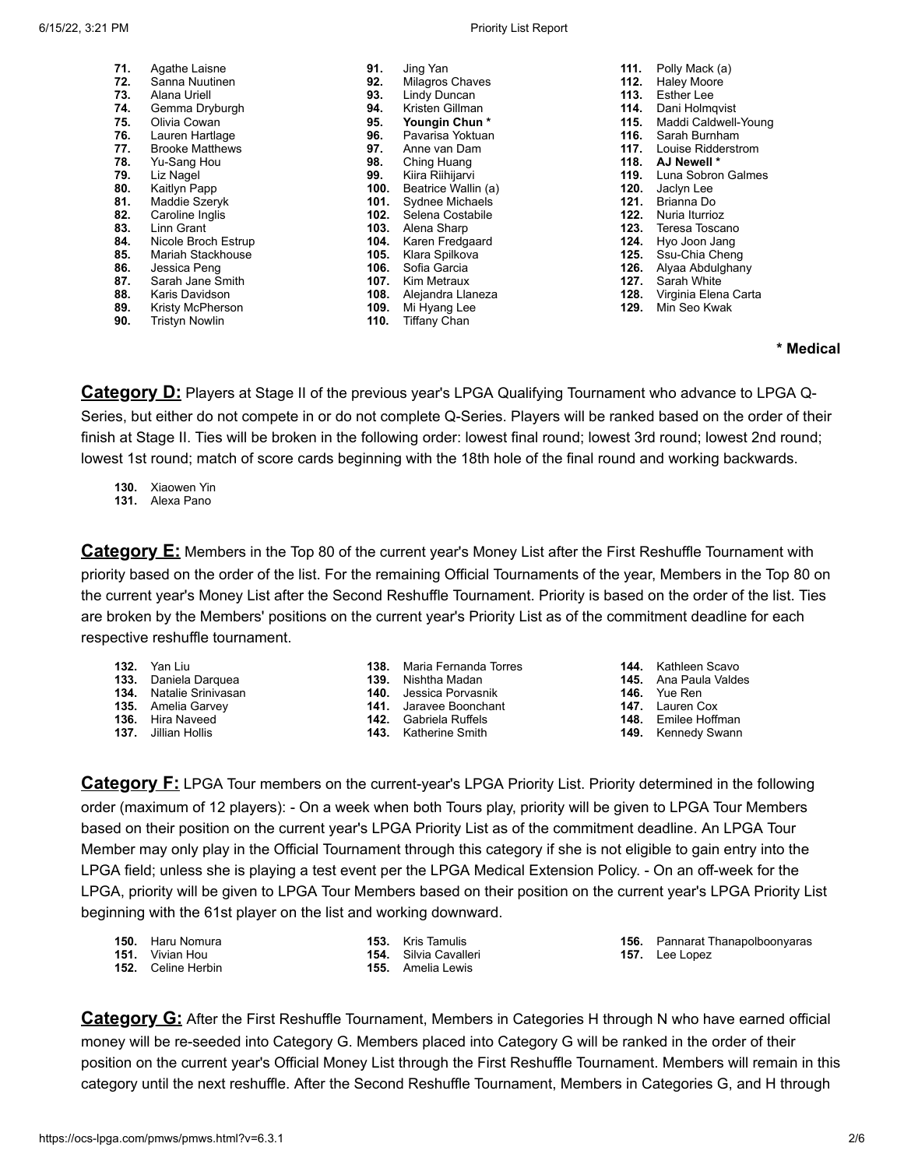| 71. | Agathe Laisne          | 91.  | Jing Yan            | 111. | Polly Mack (a)       |
|-----|------------------------|------|---------------------|------|----------------------|
| 72. | Sanna Nuutinen         | 92.  | Milagros Chaves     | 112. | <b>Haley Moore</b>   |
| 73. | Alana Uriell           | 93.  | Lindy Duncan        | 113. | <b>Esther Lee</b>    |
| 74. | Gemma Dryburgh         | 94.  | Kristen Gillman     | 114. | Dani Holmqvist       |
| 75. | Olivia Cowan           | 95.  | Youngin Chun*       | 115. | Maddi Caldwell-Young |
| 76. | Lauren Hartlage        | 96.  | Pavarisa Yoktuan    | 116. | Sarah Burnham        |
| 77. | <b>Brooke Matthews</b> | 97.  | Anne van Dam        | 117. | Louise Ridderstrom   |
| 78. | Yu-Sang Hou            | 98.  | Ching Huang         | 118. | AJ Newell *          |
| 79. | Liz Nagel              | 99.  | Kiira Riihijarvi    | 119. | Luna Sobron Galmes   |
| 80. | Kaitlyn Papp           | 100. | Beatrice Wallin (a) | 120. | Jaclyn Lee           |
| 81. | Maddie Szeryk          | 101. | Sydnee Michaels     | 121. | Brianna Do           |
| 82. | Caroline Inglis        | 102. | Selena Costabile    | 122. | Nuria Iturrioz       |
| 83. | Linn Grant             | 103. | Alena Sharp         | 123. | Teresa Toscano       |
| 84. | Nicole Broch Estrup    | 104. | Karen Fredgaard     | 124. | Hyo Joon Jang        |
| 85. | Mariah Stackhouse      | 105. | Klara Spilkova      | 125. | Ssu-Chia Cheng       |
| 86. | Jessica Peng           | 106. | Sofia Garcia        | 126. | Alyaa Abdulghany     |
| 87. | Sarah Jane Smith       | 107. | Kim Metraux         | 127. | Sarah White          |
| 88. | Karis Davidson         | 108. | Alejandra Llaneza   | 128. | Virginia Elena Carta |
| 89. | Kristy McPherson       | 109. | Mi Hyang Lee        | 129. | Min Seo Kwak         |
| 90. | <b>Tristyn Nowlin</b>  | 110. | <b>Tiffany Chan</b> |      |                      |
|     |                        |      |                     |      |                      |

**\* Medical**

**Category D:** Players at Stage II of the previous year's LPGA Qualifying Tournament who advance to LPGA Q-Series, but either do not compete in or do not complete Q-Series. Players will be ranked based on the order of their finish at Stage II. Ties will be broken in the following order: lowest final round; lowest 3rd round; lowest 2nd round; lowest 1st round; match of score cards beginning with the 18th hole of the final round and working backwards.

**130.** Xiaowen Yin

**131.** Alexa Pano

**Category E:** Members in the Top 80 of the current year's Money List after the First Reshuffle Tournament with priority based on the order of the list. For the remaining Official Tournaments of the year, Members in the Top 80 on the current year's Money List after the Second Reshuffle Tournament. Priority is based on the order of the list. Ties are broken by the Members' positions on the current year's Priority List as of the commitment deadline for each respective reshuffle tournament.

- **132.** Yan Liu
- **133.** Daniela Darquea
- **134.** Natalie Srinivasan
- **135.** Amelia Garvey
- **136.** Hira Naveed
- **137.** Jillian Hollis
- **138.** Maria Fernanda Torres
- **139.** Nishtha Madan
- **140.** Jessica Porvasnik
- **141.** Jaravee Boonchant
- **142.** Gabriela Ruffels
- **143.** Katherine Smith

**144.** Kathleen Scavo

- **145.** Ana Paula Valdes
- **146.** Yue Ren
- **147.** Lauren Cox
- **148.** Emilee Hoffman
- **149.** Kennedy Swann

**Category F:** LPGA Tour members on the current-year's LPGA Priority List. Priority determined in the following order (maximum of 12 players): - On a week when both Tours play, priority will be given to LPGA Tour Members based on their position on the current year's LPGA Priority List as of the commitment deadline. An LPGA Tour Member may only play in the Official Tournament through this category if she is not eligible to gain entry into the LPGA field; unless she is playing a test event per the LPGA Medical Extension Policy. - On an off-week for the LPGA, priority will be given to LPGA Tour Members based on their position on the current year's LPGA Priority List beginning with the 61st player on the list and working downward.

| <b>150.</b> Haru Nomura   | <b>153.</b> Kris Tamulis     |
|---------------------------|------------------------------|
| <b>151.</b> Vivian Hou    | <b>154.</b> Silvia Cavalleri |
| <b>152.</b> Celine Herbin | <b>155.</b> Amelia Lewis     |

**156.** Pannarat Thanapolboonyaras **157.** Lee Lopez

**Category G:** After the First Reshuffle Tournament, Members in Categories H through N who have earned official money will be re-seeded into Category G. Members placed into Category G will be ranked in the order of their position on the current year's Official Money List through the First Reshuffle Tournament. Members will remain in this category until the next reshuffle. After the Second Reshuffle Tournament, Members in Categories G, and H through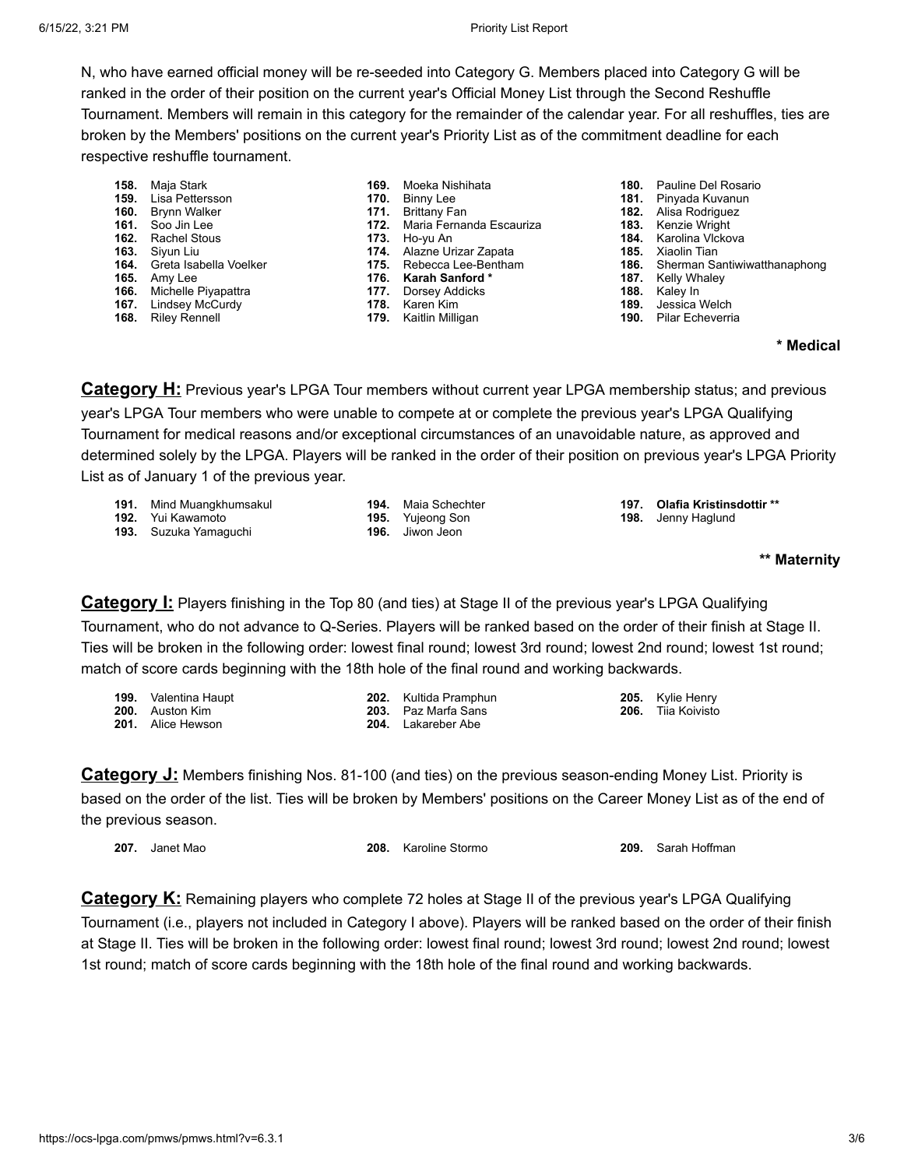N, who have earned official money will be re-seeded into Category G. Members placed into Category G will be ranked in the order of their position on the current year's Official Money List through the Second Reshuffle Tournament. Members will remain in this category for the remainder of the calendar year. For all reshuffles, ties are broken by the Members' positions on the current year's Priority List as of the commitment deadline for each respective reshuffle tournament.

- **158.** Maja Stark
- **159.** Lisa Pettersson
- **160.** Brynn Walker **161.** Soo Jin Lee
- **162.** Rachel Stous
- 
- **163.** Siyun Liu **164.** Greta Isabella Voelker
- **165.** Amy Lee
- 
- **166.** Michelle Piyapattra
- 
- 
- **167.** Lindsey McCurdy
- **168.** Riley Rennell
- **169.** Moeka Nishihata
- **170.** Binny Lee
- **171.** Brittany Fan
- **172.** Maria Fernanda Escauriza **173.** Ho-yu An
- 
- **174.** Alazne Urizar Zapata **175.** Rebecca Lee-Bentham
- **176. Karah Sanford \***
- **177.** Dorsey Addicks
- **178.** Karen Kim
- **179.** Kaitlin Milligan
- 
- **180.** Pauline Del Rosario
- **181.** Pinyada Kuvanun
- **182.** Alisa Rodriguez
- **183.** Kenzie Wright
- **184.** Karolina Vlckova
- **185.** Xiaolin Tian **186.** Sherman Santiwiwatthanaphong
- 
- **187.** Kelly Whaley<br>**188.** Kaley In
- **188.** Kaley In **189.** Jessica Welch
- **190.** Pilar Echeverria

## **\* Medical**

**Category H:** Previous year's LPGA Tour members without current year LPGA membership status; and previous year's LPGA Tour members who were unable to compete at or complete the previous year's LPGA Qualifying Tournament for medical reasons and/or exceptional circumstances of an unavoidable nature, as approved and determined solely by the LPGA. Players will be ranked in the order of their position on previous year's LPGA Priority List as of January 1 of the previous year.

- **191.** Mind Muangkhumsakul
- **192.** Yui Kawamoto
- **193.** Suzuka Yamaguchi
- **194.** Maia Schechter **195.** Yujeong Son **196.** Jiwon Jeon
- **197. Olafia Kristinsdottir \*\* 198.** Jenny Haglund

```
** Maternity
```
**Category I:** Players finishing in the Top 80 (and ties) at Stage II of the previous year's LPGA Qualifying Tournament, who do not advance to Q-Series. Players will be ranked based on the order of their finish at Stage II. Ties will be broken in the following order: lowest final round; lowest 3rd round; lowest 2nd round; lowest 1st round; match of score cards beginning with the 18th hole of the final round and working backwards.

| <b>199.</b> Valentina Haupt | <b>202.</b> Kultida Pramphun | <b>205.</b> Kylie Henry   |
|-----------------------------|------------------------------|---------------------------|
| <b>200.</b> Auston Kim      | <b>203.</b> Paz Marfa Sans   | <b>206.</b> Tija Koivisto |
| <b>201.</b> Alice Hewson    | <b>204.</b> Lakareber Abe    |                           |

**Category J:** Members finishing Nos. 81-100 (and ties) on the previous season-ending Money List. Priority is based on the order of the list. Ties will be broken by Members' positions on the Career Money List as of the end of the previous season.

| 207. | Janet Mao |
|------|-----------|
|------|-----------|

**208.** Karoline Stormo **209.** Sarah Hoffman

**Category K:** Remaining players who complete 72 holes at Stage II of the previous year's LPGA Qualifying Tournament (i.e., players not included in Category I above). Players will be ranked based on the order of their finish at Stage II. Ties will be broken in the following order: lowest final round; lowest 3rd round; lowest 2nd round; lowest 1st round; match of score cards beginning with the 18th hole of the final round and working backwards.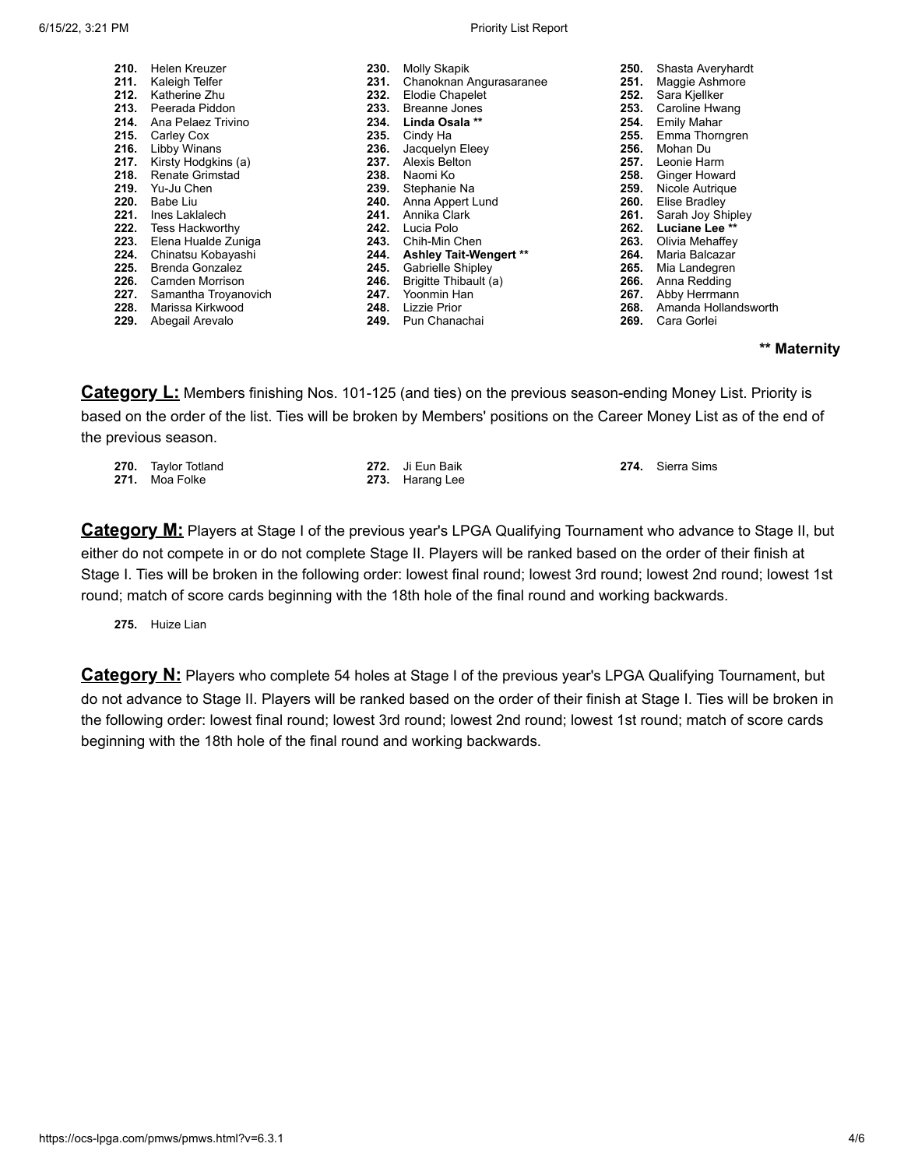#### 6/15/22, 3:21 PM Priority List Report

| 210. | Helen Kreuzer          | 230. | Molly Skapik                  | 250. | Shasta Averyhardt    |
|------|------------------------|------|-------------------------------|------|----------------------|
| 211. | Kaleigh Telfer         | 231. | Chanoknan Angurasaranee       | 251. | Maggie Ashmore       |
| 212. | Katherine Zhu          | 232. | Elodie Chapelet               | 252. | Sara Kjellker        |
| 213. | Peerada Piddon         | 233. | <b>Breanne Jones</b>          | 253. | Caroline Hwang       |
| 214. | Ana Pelaez Trivino     | 234. | Linda Osala **                | 254. | <b>Emily Mahar</b>   |
| 215. | Carley Cox             | 235. | Cindy Ha                      | 255. | Emma Thorngren       |
| 216. | Libby Winans           | 236. | Jacquelyn Eleey               | 256. | Mohan Du             |
| 217. | Kirsty Hodgkins (a)    | 237. | Alexis Belton                 | 257. | Leonie Harm          |
| 218. | <b>Renate Grimstad</b> | 238. | Naomi Ko                      | 258. | Ginger Howard        |
| 219. | Yu-Ju Chen             | 239. | Stephanie Na                  | 259. | Nicole Autrique      |
| 220. | Babe Liu               | 240. | Anna Appert Lund              | 260. | Elise Bradley        |
| 221. | Ines Laklalech         | 241. | Annika Clark                  | 261. | Sarah Joy Shipley    |
| 222. | <b>Tess Hackworthy</b> | 242. | Lucia Polo                    | 262. | Luciane Lee **       |
| 223. | Elena Hualde Zuniga    | 243. | Chih-Min Chen                 | 263. | Olivia Mehaffey      |
| 224. | Chinatsu Kobayashi     | 244. | <b>Ashley Tait-Wengert **</b> | 264. | Maria Balcazar       |
| 225. | <b>Brenda Gonzalez</b> | 245. | Gabrielle Shipley             | 265. | Mia Landegren        |
| 226. | Camden Morrison        | 246. | Brigitte Thibault (a)         | 266. | Anna Redding         |
| 227. | Samantha Troyanovich   | 247. | Yoonmin Han                   | 267. | Abby Herrmann        |
| 228. | Marissa Kirkwood       | 248. | <b>Lizzie Prior</b>           | 268. | Amanda Hollandsworth |
| 229. | Abegail Arevalo        | 249. | Pun Chanachai                 | 269. | Cara Gorlei          |

## **\*\* Maternity**

**Category L:** Members finishing Nos. 101-125 (and ties) on the previous season-ending Money List. Priority is based on the order of the list. Ties will be broken by Members' positions on the Career Money List as of the end of the previous season.

| 270. Taylor Totland<br><b>271.</b> Moa Folke | 272. Ji Eun Baik<br>273. Harang Lee | 274. Sierra Sims |
|----------------------------------------------|-------------------------------------|------------------|
|                                              |                                     |                  |

**Category M:** Players at Stage I of the previous year's LPGA Qualifying Tournament who advance to Stage II, but either do not compete in or do not complete Stage II. Players will be ranked based on the order of their finish at Stage I. Ties will be broken in the following order: lowest final round; lowest 3rd round; lowest 2nd round; lowest 1st round; match of score cards beginning with the 18th hole of the final round and working backwards.

### **275.** Huize Lian

**Category N:** Players who complete 54 holes at Stage I of the previous year's LPGA Qualifying Tournament, but do not advance to Stage II. Players will be ranked based on the order of their finish at Stage I. Ties will be broken in the following order: lowest final round; lowest 3rd round; lowest 2nd round; lowest 1st round; match of score cards beginning with the 18th hole of the final round and working backwards.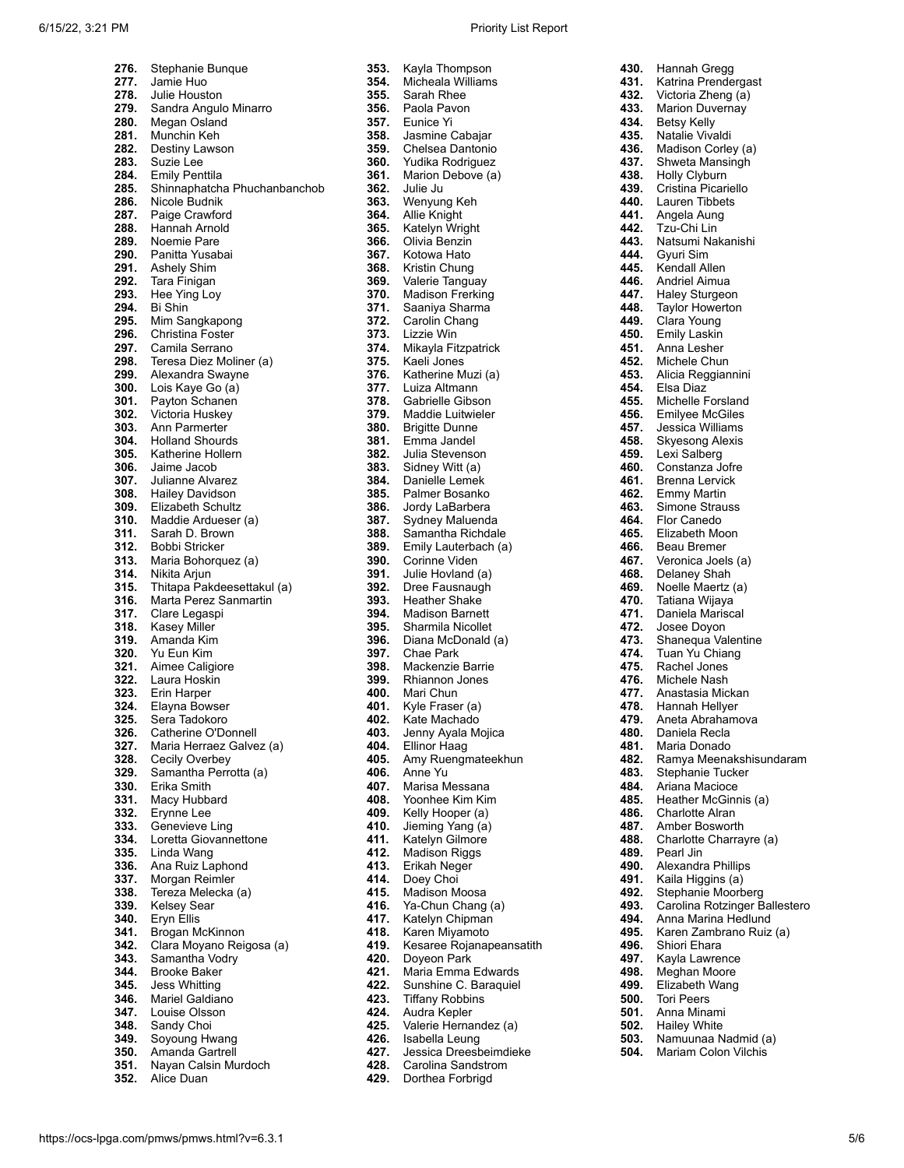## 6/15/22, 3:21 PM Priority List Report

| 276.         | Stephanie Bunque                                   |
|--------------|----------------------------------------------------|
| 277.<br>278. | Jamie Huo<br>Julie Houston                         |
| 279.         | Sandra Angulo Minarro                              |
| 280.         | Megan Osland                                       |
| 281.         | Munchin Keh                                        |
| 282.<br>283. | Destiny Lawson<br>Suzie Lee                        |
| 284.         | <b>Emily Penttila</b>                              |
| 285.         | Shinnaphatcha Phuchanbanchob                       |
| 286.         | Nicole Budnik                                      |
| 287.<br>288. | Paige Crawford                                     |
| 289.         | Hannah Arnold<br>Noemie Pare                       |
| 290.         | Panitta Yusabai                                    |
| 291.         | <b>Ashely Shim</b>                                 |
| 292.<br>293. | Tara Finigan<br>Hee Ying Loy                       |
| 294.         | Bi Shin                                            |
| 295.         | Mim Sangkapong                                     |
| 296.         | <b>Christina Foster</b>                            |
| 297.<br>298. | Camila Serrano                                     |
| 299.         | Teresa Diez Moliner (a)<br>Alexandra Swayne        |
| 300.         | Lois Kaye Go (a)                                   |
| 301.         | Payton Schanen                                     |
| 302.         | Victoria Huskey<br>Ann Parmerter                   |
| 303.<br>304. | <b>Holland Shourds</b>                             |
| 305.         | Katherine Hollern                                  |
| 306.         | Jaime Jacob                                        |
| 307.         | Julianne Alvarez                                   |
| 308.<br>309. | <b>Hailey Davidson</b><br><b>Elizabeth Schultz</b> |
| 310.         | Maddie Ardueser (a)                                |
| 311.         | Sarah D. Brown                                     |
| 312.         | Bobbi Stricker                                     |
| 313.<br>314. | Maria Bohorquez (a)<br>Nikita Arjun                |
| 315.         | Thitapa Pakdeesettakul (a)                         |
| 316.         | Marta Perez Sanmartin                              |
| 317.<br>318. | Clare Legaspi<br><b>Kasey Miller</b>               |
| 319.         | Amanda Kim                                         |
| 320.         | Yu Eun Kim                                         |
| 321.         | Aimee Caligiore                                    |
| 322.<br>323. | Laura Hoskin<br>Erin Harper                        |
| 324.         | Elayna Bowser                                      |
| 325.         | Sera Tadokoro                                      |
| 326.         | Catherine O'Donnell                                |
| 327.<br>328. | Maria Herraez Galvez (a)<br>Cecily Overbey         |
| 329.         | Samantha Perrotta (a)                              |
| 330.         | Erika Smith                                        |
| 331.<br>332. | Macy Hubbard<br>Erynne Lee                         |
| 333.         | Genevieve Ling                                     |
| 334.         | Loretta Giovannettone                              |
| 335.         | Linda Wang                                         |
| 336.<br>337. | Ana Ruiz Laphond<br>Morgan Reimler                 |
| 338.         | Tereza Melecka (a)                                 |
| 339.         | Kelsey Sear                                        |
| 340.         | Eryn Ellis                                         |
| 341.<br>342. | Brogan McKinnon<br>Clara Moyano Reigosa (a)        |
| 343.         | Samantha Vodry                                     |
| 344.         | Brooke Baker                                       |
| 345.         | <b>Jess Whitting</b>                               |
| 346.<br>347. | Mariel Galdiano<br>Louise Olsson                   |
| 348.         | Sandy Choi                                         |
| 349.         | Soyoung Hwang                                      |
| 350.         | Amanda Gartrell                                    |
| 351.<br>352. | Nayan Calsin Murdoch<br>Alice Duan                 |
|              |                                                    |

| 353.         | Kayla Thompson                                  |
|--------------|-------------------------------------------------|
| 354.         | Micheala Williams                               |
| 355.         | Sarah Rhee                                      |
| 356.<br>357. | Paola Pavon<br>Eunice Yi                        |
| 358.         | Jasmine Cabajar                                 |
| 359.         | Chelsea Dantonio                                |
| 360.         | Yudika Rodriguez                                |
| 361.         | Marion Debove (a)                               |
| 362.<br>363. | Julie Ju                                        |
| 364.         | Wenyung Keh<br><b>Allie Knight</b>              |
| 365.         | Katelyn Wright                                  |
| 366.         | Olivia Benzin                                   |
| 367.         | Kotowa Hato                                     |
| 368.<br>369. | Kristin Chung<br>Valerie Tanguay                |
| 370.         | <b>Madison Frerking</b>                         |
| 371.         | Saaniya Sharma                                  |
| 372.         | Carolin Chang                                   |
| 373.         | Lizzie Win                                      |
| 374.<br>375. | Mikayla Fitzpatrick<br>Kaeli Jones              |
| 376.         | Katherine Muzi (a)                              |
| 377.         | Luiza Altmann                                   |
| 378.         | Gabrielle Gibson                                |
| 379.         | Maddie Luitwieler                               |
| 380.<br>381. | <b>Brigitte Dunne</b><br>Emma Jandel            |
| 382.         | Julia Stevenson                                 |
| 383.         | Sidney Witt (a)                                 |
| 384.         | Danielle Lemek                                  |
| 385.         | Palmer Bosanko                                  |
| 386.         | Jordy LaBarbera                                 |
| 387.<br>388. | Sydney Maluenda<br>Samantha Richdale            |
| 389.         | Emily Lauterbach (a)                            |
| 390.         | Corinne Viden                                   |
| 391.         | Julie Hovland (a)                               |
| 392.<br>393. | Dree Fausnaugh<br>Heather Shake                 |
| 394.         | <b>Madison Barnett</b>                          |
| 395.         | Sharmila Nicollet                               |
| 396.         | Diana McDonald (a)                              |
| 397.         | Chae Park                                       |
| 398.<br>399. | Mackenzie Barrie<br>Rhiannon Jones              |
| 400.         | Mari Chun                                       |
| 401.         | Kyle Fraser (a)                                 |
| 402.         | Kate Machado                                    |
| 403.         | Jenny Ayala Mojica                              |
| 404.<br>405. | <b>Ellinor Haag</b><br>Amy Ruengmateekhun       |
| 406.         | Anne Yu                                         |
| 407.         | Marisa Messana                                  |
| 408.         | Yoonhee Kim Kim                                 |
| 409.         | Kelly Hooper (a)<br>Jieming Yang (a)            |
| 410.<br>411. | Katelyn Gilmore                                 |
| 412.         | <b>Madison Riggs</b>                            |
| 413.         | Erikah Neger                                    |
| 414.         | Doey Choi                                       |
| 415.         | Madison Moosa                                   |
| 416.<br>417. | Ya-Chun Chang (a)<br>Katelyn Chipman            |
| 418.         | Karen Miyamoto                                  |
| 419.         | Kesaree Rojanapeansatith                        |
| 420.         | Doyeon Park                                     |
| 421.         | Maria Emma Edwards                              |
| 422.<br>423. | Sunshine C. Baraquiel<br><b>Tiffany Robbins</b> |
| 424.         | Audra Kepler                                    |
| 425.         | Valerie Hernandez (a)                           |
| 426.         | Isabella Leung                                  |
| 427.         | Jessica Dreesbeimdieke<br>Carolina Sandstrom    |
| 428.         |                                                 |

|      | 424. Audra Kepler      |
|------|------------------------|
| 425. | Valerie Hernandez (a)  |
| 426. | Isabella Leung         |
| 427. | Jessica Dreesbeimdieke |
| 428. | Carolina Sandstrom     |
| 429. | Dorthea Forbrigd       |

| 430.         | Hannah Gregg                         |
|--------------|--------------------------------------|
| 431.         | Katrina Prendergast                  |
| 432.         | Victoria Zheng (a)                   |
| 433.         | <b>Marion Duvernay</b>               |
| 434.         | Betsy Kelly                          |
| 435.         | Natalie Vivaldi                      |
| 436.         | Madison Corley (a)                   |
| 437.         | Shweta Mansingh                      |
| 438.<br>439. | Holly Clyburn<br>Cristina Picariello |
| 440.         | Lauren Tibbets                       |
| 441.         | Angela Aung                          |
| 442.         | Tzu-Chi Lin                          |
| 443.         | Natsumi Nakanishi                    |
| 444.         | Gyuri Sim                            |
| 445.         | Kendall Allen                        |
| 446.         | Andriel Aimua                        |
| 447.         | Haley Sturgeon                       |
| 448.         | Taylor Howerton                      |
| 449.         | Clara Young                          |
| 450.         | <b>Emily Laskin</b>                  |
| 451.         | Anna Lesher                          |
| 452.         | Michele Chun                         |
| 453.         | Alicia Reggiannini                   |
| 454.         | Elsa Diaz                            |
| 455.         | <b>Michelle Forsland</b>             |
| 456.         | <b>Emilyee McGiles</b>               |
| 457.         | Jessica Williams                     |
| 458.         | <b>Skyesong Alexis</b>               |
| 459.         | Lexi Salberg                         |
| 460.         | Constanza Jofre                      |
| 461.         | Brenna Lervick                       |
| 462.<br>463. | <b>Emmy Martin</b><br>Simone Strauss |
| 464.         | <b>Flor Canedo</b>                   |
| 465.         | Elizabeth Moon                       |
| 466.         | Beau Bremer                          |
| 467.         | Veronica Joels (a)                   |
| 468.         | Delaney Shah                         |
| 469.         | Noelle Maertz (a)                    |
| 470.         | Tatiana Wijaya                       |
| 471.         | Daniela Mariscal                     |
| 472.         | Josee Doyon                          |
| 473.         | Shanequa Valentine                   |
| 474.         | Tuan Yu Chiang                       |
| 475.         | Rachel Jones                         |
| 476.         | Michele Nash                         |
| 477.         | Anastasia Mickan                     |
| 478.<br>479. | Hannah Hellyer<br>Aneta Abrahamova   |
| 480.         | Daniela Recla                        |
| 481.         | Maria Donado                         |
| 482.         | Ramya Meenakshisundaram              |
| 483.         | <b>Stephanie Tucker</b>              |
| 484.         | Ariana Macioce                       |
| 485.         | Heather McGinnis (a)                 |
| 486.         | <b>Charlotte Alran</b>               |
| 487.         | Amber Bosworth                       |
| 488.         | Charlotte Charrayre (a)              |
| 489.         | Pearl Jin                            |
| 490.         | Alexandra Phillips                   |
| 491.         | Kaila Higgins (a)                    |
| 492.         | Stephanie Moorberg                   |
| 493.         | Carolina Rotzinger Ballestero        |
| 494.         | Anna Marina Hedlund                  |
| 495.         | Karen Zambrano Ruiz (a)              |
| 496.<br>497. | Shiori Ehara<br>Kayla Lawrence       |
| 498.         | Meghan Moore                         |
| 499.         | Elizabeth Wang                       |
| 500.         | <b>Tori Peers</b>                    |
| 501.         | Anna Minami                          |
| 502.         | <b>Hailey White</b>                  |
| 503.         | Namuunaa Nadmid (a)                  |

**504.** Mariam Colon Vilchis